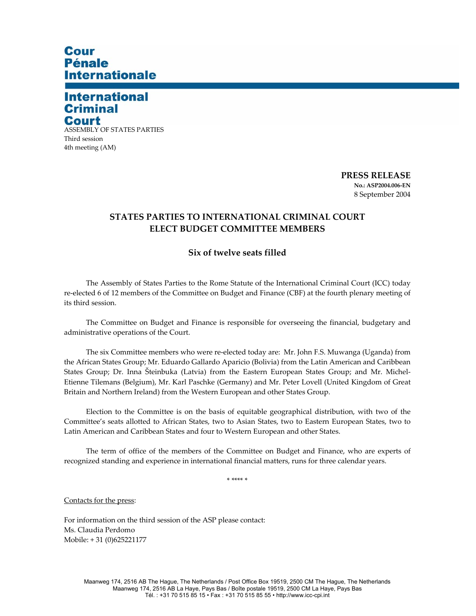## **Cour Pénale Internationale**

## **International Criminal** Court

ASSEMBLY OF STATES PARTIES Third session 4th meeting (AM)

> **PRESS RELEASE No.: ASP2004.006-EN**  8 September 2004

## **STATES PARTIES TO INTERNATIONAL CRIMINAL COURT ELECT BUDGET COMMITTEE MEMBERS**

## **Six of twelve seats filled**

The Assembly of States Parties to the Rome Statute of the International Criminal Court (ICC) today re-elected 6 of 12 members of the Committee on Budget and Finance (CBF) at the fourth plenary meeting of its third session.

The Committee on Budget and Finance is responsible for overseeing the financial, budgetary and administrative operations of the Court.

The six Committee members who were re-elected today are: Mr. John F.S. Muwanga (Uganda) from the African States Group; Mr. Eduardo Gallardo Aparicio (Bolivia) from the Latin American and Caribbean States Group; Dr. Inna Šteinbuka (Latvia) from the Eastern European States Group; and Mr. Michel-Etienne Tilemans (Belgium), Mr. Karl Paschke (Germany) and Mr. Peter Lovell (United Kingdom of Great Britain and Northern Ireland) from the Western European and other States Group.

Election to the Committee is on the basis of equitable geographical distribution, with two of the Committee's seats allotted to African States, two to Asian States, two to Eastern European States, two to Latin American and Caribbean States and four to Western European and other States.

The term of office of the members of the Committee on Budget and Finance, who are experts of recognized standing and experience in international financial matters, runs for three calendar years.

\* \*\*\*\* \*

Contacts for the press:

For information on the third session of the ASP please contact: Ms. Claudia Perdomo Mobile: + 31 (0)625221177